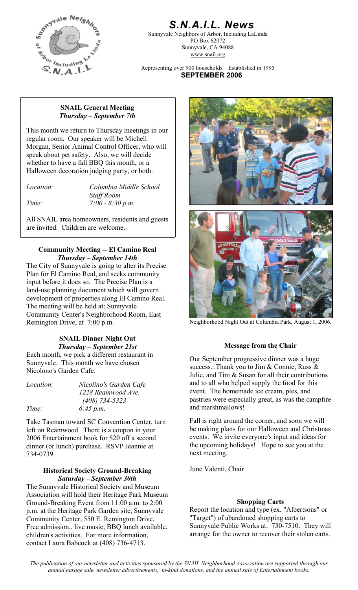

# *S.N.A.I.L. News*

Sunnyvale Neighbors of Arbor, Including LaLinda PO Box 62072 Sunnyvale, CA 94088 www.snail.org

Representing over 900 households Established in 1995 **SEPTEMBER 2006**

#### **SNAIL General Meeting**  *Thursday – September 7th*

This month we return to Thursday meetings in our regular room. Our speaker will be Michell Morgan, Senior Animal Control Officer, who will speak about pet safety. Also, we will decide whether to have a fall BBQ this month, or a Halloween decoration judging party, or both.

| Location: |
|-----------|
|           |

*Location: Columbia Middle School Staff Room Time: 7:00 - 8:30 p.m.* 

All SNAIL area homeowners, residents and guests are invited. Children are welcome.

### **Community Meeting -- El Camino Real**  *Thursday – September 14th*

The City of Sunnyvale is going to alter its Precise Plan for El Camino Real, and seeks community input before it does so. The Precise Plan is a land-use planning document which will govern development of properties along El Camino Real. The meeting will be held at: Sunnyvale Community Center's Neighborhood Room, East Remington Drive, at 7:00 p.m. Neighborhood Night Out at Columbia Park, August 1, 2006.

#### **SNAIL Dinner Night Out**  *Thursday – September 21st* **Message from the Chair**

Each month, we pick a different restaurant in Sunnyvale. This month we have chosen Nicolono's Garden Cafe.

*Location: Nicolino's Garden Cafe Time: 6:45 p.m.* 

*1228 Reamwood Ave. (408) 734-5323* 

Take Tasman toward SC Convention Center, turn left on Reamwood. There is a coupon in your 2006 Entertainment book for \$20 off a second dinner (or lunch) purchase. RSVP Jeannie at 734-0739.

#### **Historical Society Ground-Breaking** June Valenti, Chair *Saturday – September 30th*

The Sunnyvale Historical Society and Museum Association will hold their Heritage Park Museum Ground-Breaking Event from 11:00 a.m. to 2:00 p.m. at the Heritage Park Garden site, Sunnyvale Community Center, 550 E. Remington Drive. Free admission,. live music, BBQ lunch available, children's activities. For more information, contact Laura Babcock at (408) 736-4713.





Our September progressive dinner was a huge success...Thank you to Jim & Connie, Russ & Julie, and Tim & Susan for all their contributions and to all who helped supply the food for this event. The homemade ice cream, pies, and pastries were especially great, as was the campfire and marshmallows!

Fall is right around the corner, and soon we will be making plans for our Halloween and Christmas events. We invite everyone's input and ideas for the upcoming holidays! Hope to see you at the next meeting.

#### **Shopping Carts**

Report the location and type (ex. "Albertsons" or "Target") of abandoned shopping carts to Sunnyvale Public Works at: 730-7510. They will arrange for the owner to recover their stolen carts.

*The publication of our newsletter and activities sponsored by the SNAIL Neighborhood Association are supported through our annual garage sale, newsletter advertisements, in-kind donations, and the annual sale of Entertainment books.*